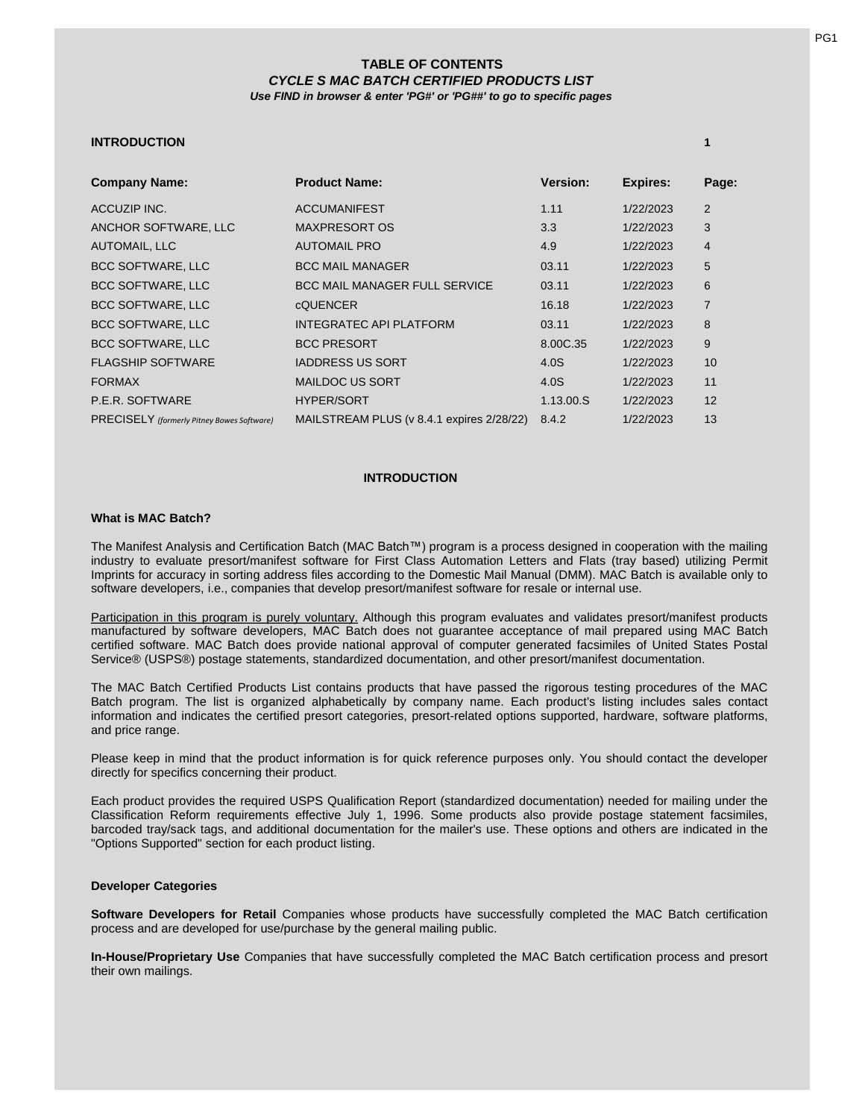# **TABLE OF CONTENTS** *CYCLE S MAC BATCH CERTIFIED PRODUCTS LIST Use FIND in browser & enter 'PG#' or 'PG##' to go to specific pages*

# **INTRODUCTION 1**

| <b>Company Name:</b>                       | <b>Product Name:</b>                      | <b>Version:</b> | <b>Expires:</b> | Page: |
|--------------------------------------------|-------------------------------------------|-----------------|-----------------|-------|
| ACCUZIP INC.                               | <b>ACCUMANIFEST</b>                       | 1.11            | 1/22/2023       | 2     |
| ANCHOR SOFTWARE, LLC                       | <b>MAXPRESORT OS</b>                      | 3.3             | 1/22/2023       | 3     |
| <b>AUTOMAIL, LLC</b>                       | <b>AUTOMAIL PRO</b>                       | 4.9             | 1/22/2023       | 4     |
| <b>BCC SOFTWARE, LLC</b>                   | <b>BCC MAIL MANAGER</b>                   | 03.11           | 1/22/2023       | 5     |
| <b>BCC SOFTWARE, LLC</b>                   | <b>BCC MAIL MANAGER FULL SERVICE</b>      | 03.11           | 1/22/2023       | 6     |
| <b>BCC SOFTWARE, LLC</b>                   | <b>CQUENCER</b>                           | 16.18           | 1/22/2023       | 7     |
| <b>BCC SOFTWARE, LLC</b>                   | INTEGRATEC API PLATFORM                   | 03.11           | 1/22/2023       | 8     |
| <b>BCC SOFTWARE, LLC</b>                   | <b>BCC PRESORT</b>                        | 8.00C.35        | 1/22/2023       | 9     |
| <b>FLAGSHIP SOFTWARE</b>                   | <b>IADDRESS US SORT</b>                   | 4.0S            | 1/22/2023       | 10    |
| <b>FORMAX</b>                              | <b>MAILDOC US SORT</b>                    | 4.0S            | 1/22/2023       | 11    |
| P.E.R. SOFTWARE                            | <b>HYPER/SORT</b>                         | 1.13.00.S       | 1/22/2023       | 12    |
| PRECISELY (formerly Pitney Bowes Software) | MAILSTREAM PLUS (v 8.4.1 expires 2/28/22) | 8.4.2           | 1/22/2023       | 13    |

## **INTRODUCTION**

## **What is MAC Batch?**

The Manifest Analysis and Certification Batch (MAC Batch™) program is a process designed in cooperation with the mailing industry to evaluate presort/manifest software for First Class Automation Letters and Flats (tray based) utilizing Permit Imprints for accuracy in sorting address files according to the Domestic Mail Manual (DMM). MAC Batch is available only to software developers, i.e., companies that develop presort/manifest software for resale or internal use.

Participation in this program is purely voluntary. Although this program evaluates and validates presort/manifest products manufactured by software developers, MAC Batch does not guarantee acceptance of mail prepared using MAC Batch certified software. MAC Batch does provide national approval of computer generated facsimiles of United States Postal Service® (USPS®) postage statements, standardized documentation, and other presort/manifest documentation.

The MAC Batch Certified Products List contains products that have passed the rigorous testing procedures of the MAC Batch program. The list is organized alphabetically by company name. Each product's listing includes sales contact information and indicates the certified presort categories, presort-related options supported, hardware, software platforms, and price range.

Please keep in mind that the product information is for quick reference purposes only. You should contact the developer directly for specifics concerning their product.

Each product provides the required USPS Qualification Report (standardized documentation) needed for mailing under the Classification Reform requirements effective July 1, 1996. Some products also provide postage statement facsimiles, barcoded tray/sack tags, and additional documentation for the mailer's use. These options and others are indicated in the "Options Supported" section for each product listing.

## **Developer Categories**

**Software Developers for Retail** Companies whose products have successfully completed the MAC Batch certification process and are developed for use/purchase by the general mailing public.

**In-House/Proprietary Use** Companies that have successfully completed the MAC Batch certification process and presort their own mailings.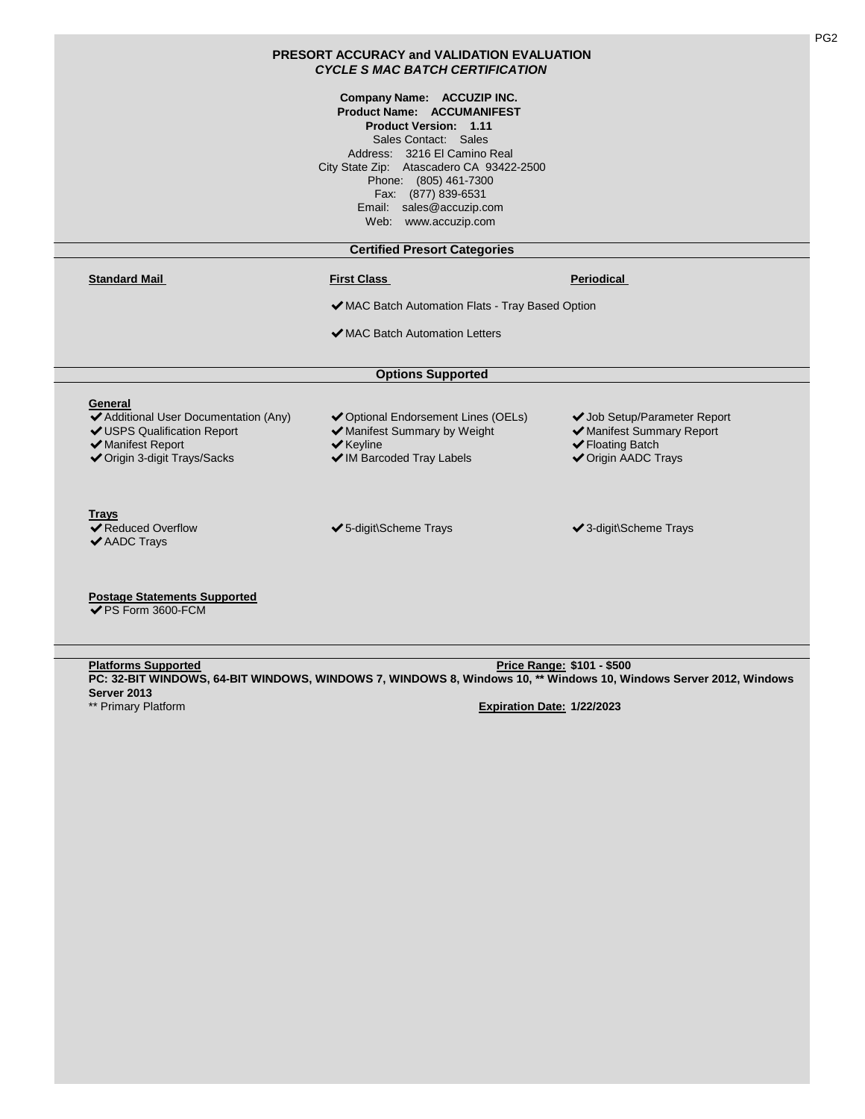| Company Name: ACCUZIP INC.<br><b>Product Name: ACCUMANIFEST</b><br><b>Product Version: 1.11</b><br>Sales Contact: Sales<br>Address: 3216 El Camino Real<br>City State Zip: Atascadero CA 93422-2500<br>Phone: (805) 461-7300<br>Fax: (877) 839-6531<br>Email: sales@accuzip.com<br>Web: www.accuzip.com<br><b>Certified Presort Categories</b><br><b>First Class</b><br>◆ MAC Batch Automation Flats - Tray Based Option<br>◆ MAC Batch Automation Letters | Periodical                                                                                                  |
|------------------------------------------------------------------------------------------------------------------------------------------------------------------------------------------------------------------------------------------------------------------------------------------------------------------------------------------------------------------------------------------------------------------------------------------------------------|-------------------------------------------------------------------------------------------------------------|
|                                                                                                                                                                                                                                                                                                                                                                                                                                                            |                                                                                                             |
|                                                                                                                                                                                                                                                                                                                                                                                                                                                            |                                                                                                             |
|                                                                                                                                                                                                                                                                                                                                                                                                                                                            |                                                                                                             |
|                                                                                                                                                                                                                                                                                                                                                                                                                                                            |                                                                                                             |
|                                                                                                                                                                                                                                                                                                                                                                                                                                                            |                                                                                                             |
|                                                                                                                                                                                                                                                                                                                                                                                                                                                            |                                                                                                             |
| <b>Options Supported</b>                                                                                                                                                                                                                                                                                                                                                                                                                                   |                                                                                                             |
| ◆ Optional Endorsement Lines (OELs)<br>◆ Manifest Summary by Weight<br>$\blacktriangleright$ Keyline<br>◆ IM Barcoded Tray Labels                                                                                                                                                                                                                                                                                                                          | ◆ Job Setup/Parameter Report<br>◆ Manifest Summary Report<br>← Floating Batch<br><b>√</b> Origin AADC Trays |
| ✔5-digit\Scheme Trays                                                                                                                                                                                                                                                                                                                                                                                                                                      | ✔ 3-digit\Scheme Trays                                                                                      |
|                                                                                                                                                                                                                                                                                                                                                                                                                                                            |                                                                                                             |

PG2

✔PS Form 3600-FCM

**Platforms Supported Price Range: \$101 - \$500**  \*\* Primary Platform **Expiration Date: 1/22/2023 PC: 32-BIT WINDOWS, 64-BIT WINDOWS, WINDOWS 7, WINDOWS 8, Windows 10, \*\* Windows 10, Windows Server 2012, Windows Server 2013**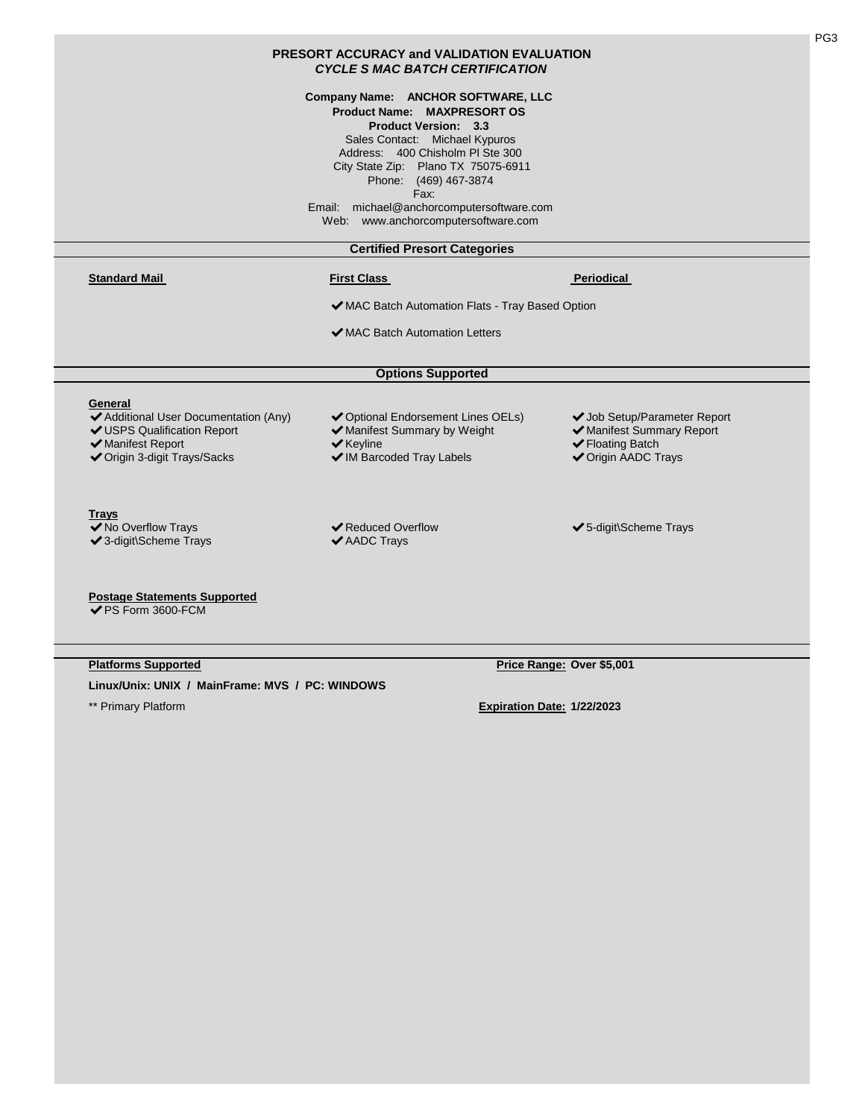|                                                                                                                                      | <b>PRESORT ACCURACY and VALIDATION EVALUATION</b><br><b>CYCLE S MAC BATCH CERTIFICATION</b>                                                                                                                                                                                                                                               |                                                                                                             |
|--------------------------------------------------------------------------------------------------------------------------------------|-------------------------------------------------------------------------------------------------------------------------------------------------------------------------------------------------------------------------------------------------------------------------------------------------------------------------------------------|-------------------------------------------------------------------------------------------------------------|
|                                                                                                                                      | Company Name: ANCHOR SOFTWARE, LLC<br><b>Product Name: MAXPRESORT OS</b><br><b>Product Version: 3.3</b><br>Sales Contact: Michael Kypuros<br>Address: 400 Chisholm PI Ste 300<br>City State Zip: Plano TX 75075-6911<br>Phone: (469) 467-3874<br>Fax:<br>Email: michael@anchorcomputersoftware.com<br>Web: www.anchorcomputersoftware.com |                                                                                                             |
|                                                                                                                                      | <b>Certified Presort Categories</b>                                                                                                                                                                                                                                                                                                       |                                                                                                             |
| <b>Standard Mail</b>                                                                                                                 | <b>First Class</b>                                                                                                                                                                                                                                                                                                                        | Periodical                                                                                                  |
|                                                                                                                                      | ◆ MAC Batch Automation Flats - Tray Based Option                                                                                                                                                                                                                                                                                          |                                                                                                             |
|                                                                                                                                      |                                                                                                                                                                                                                                                                                                                                           |                                                                                                             |
|                                                                                                                                      | ✔ MAC Batch Automation Letters                                                                                                                                                                                                                                                                                                            |                                                                                                             |
|                                                                                                                                      | <b>Options Supported</b>                                                                                                                                                                                                                                                                                                                  |                                                                                                             |
| General<br>◆ Additional User Documentation (Any)<br>✔ USPS Qualification Report<br>✔ Manifest Report<br>◆ Origin 3-digit Trays/Sacks | ◆ Optional Endorsement Lines OELs)<br>◆ Manifest Summary by Weight<br>$\blacktriangleright$ Keyline<br>◆ IM Barcoded Tray Labels                                                                                                                                                                                                          | ◆ Job Setup/Parameter Report<br>◆ Manifest Summary Report<br>✔ Floating Batch<br><b>√</b> Origin AADC Trays |
| <b>Trays</b><br>◆ No Overflow Trays<br>✔ 3-digit\Scheme Trays                                                                        | <b>◆ Reduced Overflow</b><br>✔ AADC Trays                                                                                                                                                                                                                                                                                                 | ✔5-digit\Scheme Trays                                                                                       |
| <b>Postage Statements Supported</b><br><b>√PS Form 3600-FCM</b>                                                                      |                                                                                                                                                                                                                                                                                                                                           |                                                                                                             |

**Linux/Unix: UNIX / MainFrame: MVS / PC: WINDOWS**

**Platforms Supported Price Range: Over \$5,001** 

PG3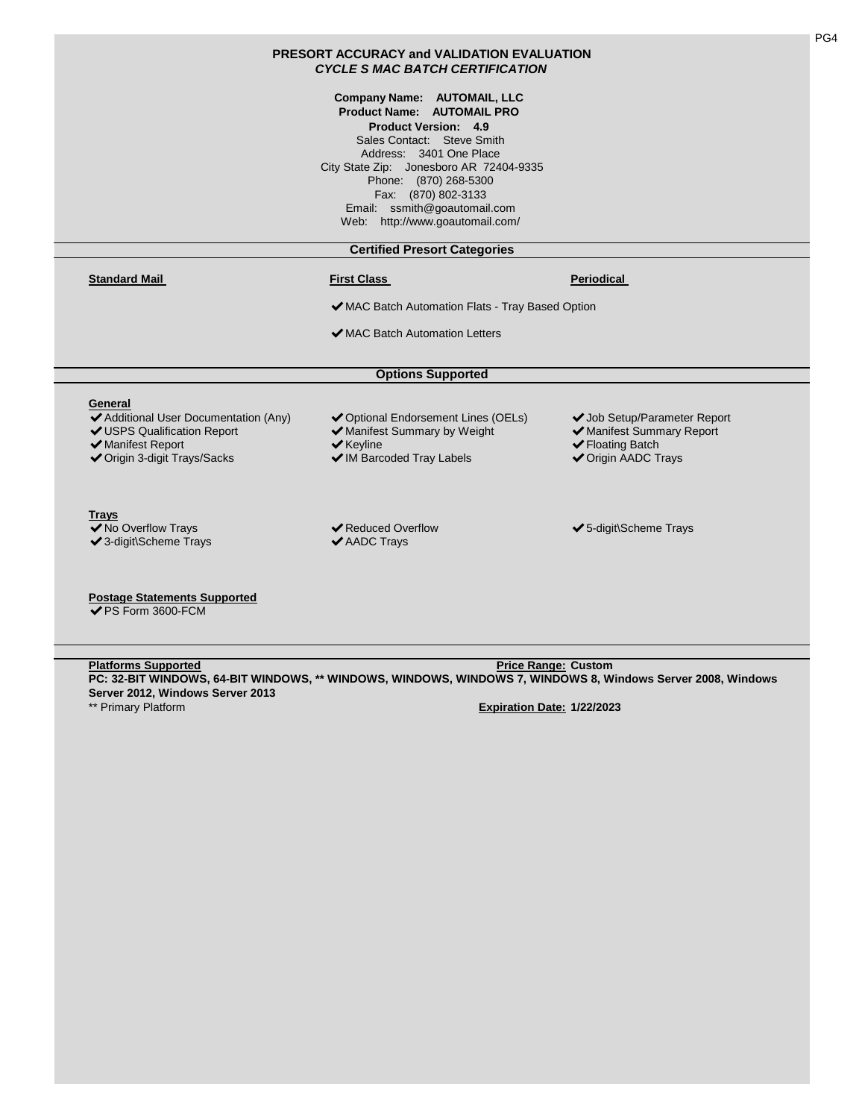|                                                                                                                                      | <b>PRESORT ACCURACY and VALIDATION EVALUATION</b><br><b>CYCLE S MAC BATCH CERTIFICATION</b>                                                                                                                                                                                                                                   |                                                                                                             |
|--------------------------------------------------------------------------------------------------------------------------------------|-------------------------------------------------------------------------------------------------------------------------------------------------------------------------------------------------------------------------------------------------------------------------------------------------------------------------------|-------------------------------------------------------------------------------------------------------------|
|                                                                                                                                      | <b>Company Name: AUTOMAIL, LLC</b><br><b>Product Name: AUTOMAIL PRO</b><br><b>Product Version: 4.9</b><br>Sales Contact: Steve Smith<br>Address: 3401 One Place<br>City State Zip: Jonesboro AR 72404-9335<br>Phone: (870) 268-5300<br>Fax: (870) 802-3133<br>Email: ssmith@goautomail.com<br>Web: http://www.goautomail.com/ |                                                                                                             |
|                                                                                                                                      | <b>Certified Presort Categories</b>                                                                                                                                                                                                                                                                                           |                                                                                                             |
| <b>Standard Mail</b>                                                                                                                 | <b>First Class</b>                                                                                                                                                                                                                                                                                                            | Periodical                                                                                                  |
|                                                                                                                                      | ◆ MAC Batch Automation Flats - Tray Based Option                                                                                                                                                                                                                                                                              |                                                                                                             |
|                                                                                                                                      | ◆ MAC Batch Automation Letters                                                                                                                                                                                                                                                                                                |                                                                                                             |
|                                                                                                                                      | <b>Options Supported</b>                                                                                                                                                                                                                                                                                                      |                                                                                                             |
| General<br>◆ Additional User Documentation (Any)<br>✔ USPS Qualification Report<br>◆ Manifest Report<br>◆ Origin 3-digit Trays/Sacks | ◆ Optional Endorsement Lines (OELs)<br>◆ Manifest Summary by Weight<br>$\blacktriangleright$ Keyline<br>◆ IM Barcoded Tray Labels                                                                                                                                                                                             | ◆ Job Setup/Parameter Report<br>◆ Manifest Summary Report<br>✔ Floating Batch<br><b>√</b> Origin AADC Trays |
| <b>Trays</b><br>◆ No Overflow Trays<br>✔ 3-digit\Scheme Trays                                                                        | <b>◆ Reduced Overflow</b><br>$\blacktriangleright$ AADC Trays                                                                                                                                                                                                                                                                 | ✔5-digit\Scheme Trays                                                                                       |

PG4

**Platforms Supported Price Range: Custom**  \*\* Primary Platform **Expiration Date: 1/22/2023 PC: 32-BIT WINDOWS, 64-BIT WINDOWS, \*\* WINDOWS, WINDOWS, WINDOWS 7, WINDOWS 8, Windows Server 2008, Windows Server 2012, Windows Server 2013**

**Postage Statements Supported** ✔PS Form 3600-FCM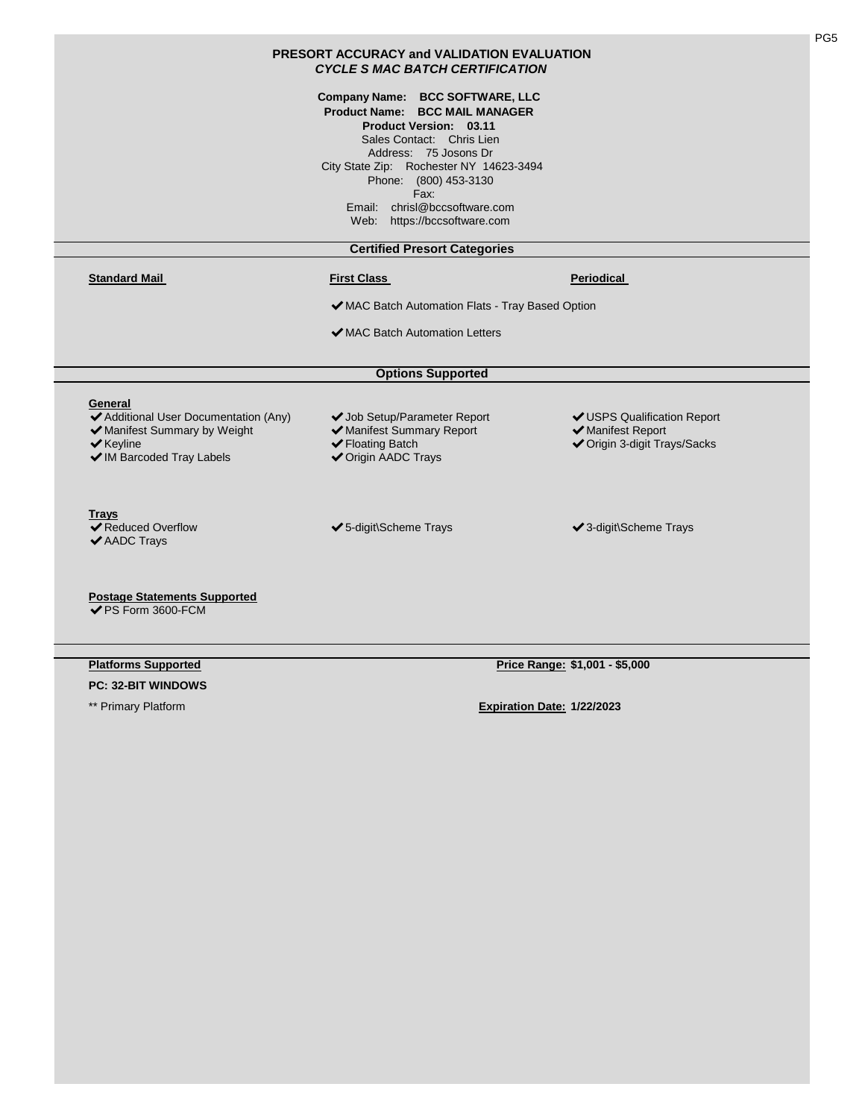|                                                                                            | Company Name: BCC SOFTWARE, LLC<br><b>Product Name: BCC MAIL MANAGER</b><br>Product Version: 03.11<br>Sales Contact: Chris Lien<br>Address: 75 Josons Dr<br>City State Zip: Rochester NY 14623-3494<br>Phone: (800) 453-3130<br>Fax:<br>Email: chrisl@bccsoftware.com<br>Web: https://bccsoftware.com |                                                  |
|--------------------------------------------------------------------------------------------|-------------------------------------------------------------------------------------------------------------------------------------------------------------------------------------------------------------------------------------------------------------------------------------------------------|--------------------------------------------------|
|                                                                                            | <b>Certified Presort Categories</b>                                                                                                                                                                                                                                                                   |                                                  |
| <b>Standard Mail</b>                                                                       | <b>First Class</b>                                                                                                                                                                                                                                                                                    | <b>Periodical</b>                                |
|                                                                                            | ◆ MAC Batch Automation Flats - Tray Based Option                                                                                                                                                                                                                                                      |                                                  |
|                                                                                            | ✔ MAC Batch Automation Letters                                                                                                                                                                                                                                                                        |                                                  |
|                                                                                            |                                                                                                                                                                                                                                                                                                       |                                                  |
|                                                                                            | <b>Options Supported</b>                                                                                                                                                                                                                                                                              |                                                  |
| General<br>◆ Additional User Documentation (Any)                                           | ◆ Job Setup/Parameter Report<br>✔ Manifest Summary Report                                                                                                                                                                                                                                             | ✔ USPS Qualification Report<br>✔ Manifest Report |
| ◆ Manifest Summary by Weight<br>$\blacktriangleright$ Keyline<br>◆ IM Barcoded Tray Labels | ✔ Floating Batch<br><b>√</b> Origin AADC Trays                                                                                                                                                                                                                                                        | ◆ Origin 3-digit Trays/Sacks                     |

| <b>Platforms Supported</b> |
|----------------------------|
|                            |

**PC: 32-BIT WINDOWS**

**Price Range: \$1,001 - \$5,000**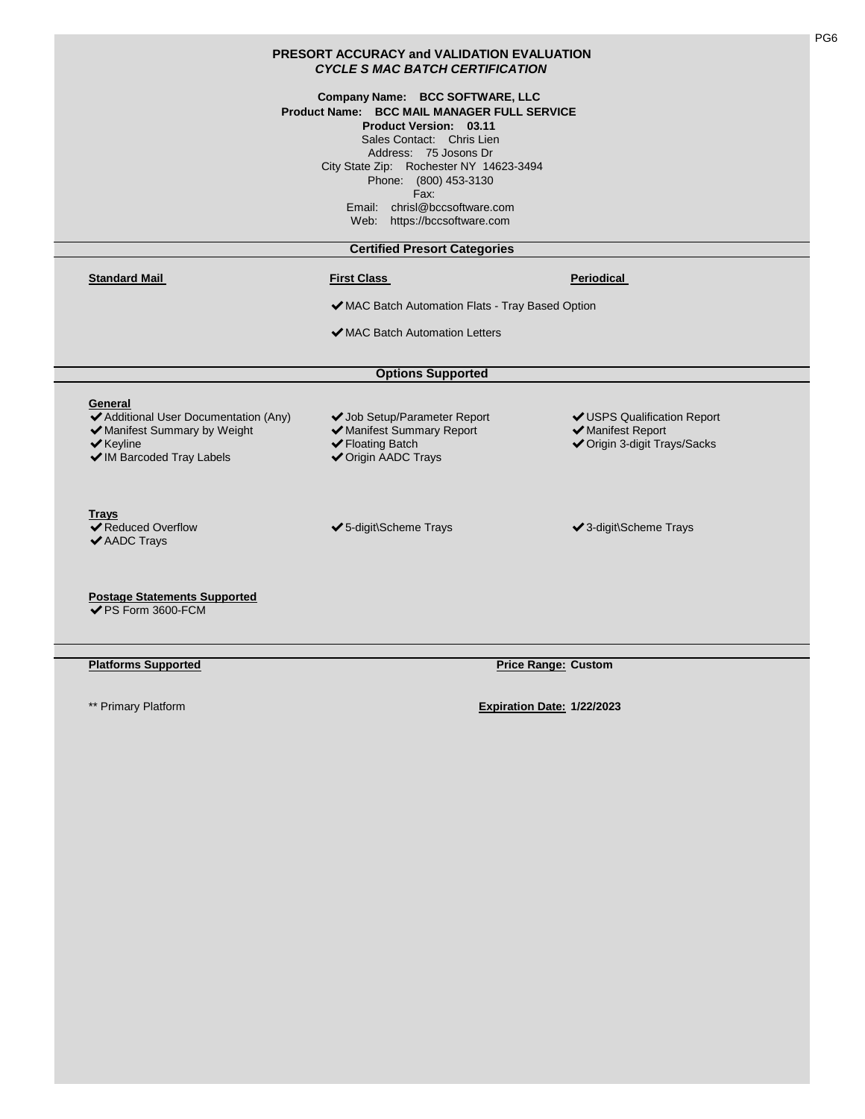| PRESORT ACCURACY and VALIDATION EVALUATION<br><b>CYCLE S MAC BATCH CERTIFICATION</b>                                                           |                                                                                                                                                                                                                                                                                                                    |                                                                                  |  |  |
|------------------------------------------------------------------------------------------------------------------------------------------------|--------------------------------------------------------------------------------------------------------------------------------------------------------------------------------------------------------------------------------------------------------------------------------------------------------------------|----------------------------------------------------------------------------------|--|--|
|                                                                                                                                                | Company Name: BCC SOFTWARE, LLC<br>Product Name: BCC MAIL MANAGER FULL SERVICE<br><b>Product Version: 03.11</b><br>Sales Contact: Chris Lien<br>Address: 75 Josons Dr<br>City State Zip: Rochester NY 14623-3494<br>Phone: (800) 453-3130<br>Fax:<br>Email: chrisl@bccsoftware.com<br>Web: https://bccsoftware.com |                                                                                  |  |  |
|                                                                                                                                                | <b>Certified Presort Categories</b>                                                                                                                                                                                                                                                                                |                                                                                  |  |  |
| <b>Standard Mail</b>                                                                                                                           | <b>First Class</b>                                                                                                                                                                                                                                                                                                 | Periodical                                                                       |  |  |
| ◆ MAC Batch Automation Flats - Tray Based Option                                                                                               |                                                                                                                                                                                                                                                                                                                    |                                                                                  |  |  |
|                                                                                                                                                | ◆ MAC Batch Automation Letters                                                                                                                                                                                                                                                                                     |                                                                                  |  |  |
|                                                                                                                                                | <b>Options Supported</b>                                                                                                                                                                                                                                                                                           |                                                                                  |  |  |
| General<br>◆ Additional User Documentation (Any)<br>◆ Manifest Summary by Weight<br>$\blacktriangleright$ Keyline<br>◆ IM Barcoded Tray Labels | ◆ Job Setup/Parameter Report<br>✔ Manifest Summary Report<br>✔ Floating Batch<br><b>√</b> Origin AADC Trays                                                                                                                                                                                                        | ✔ USPS Qualification Report<br>✔ Manifest Report<br>◆ Origin 3-digit Trays/Sacks |  |  |
| Trays<br>◆ Reduced Overflow<br>✔ AADC Trays                                                                                                    | ✔5-digit\Scheme Trays                                                                                                                                                                                                                                                                                              | ✔ 3-digit\Scheme Trays                                                           |  |  |
| <b>Postage Statements Supported</b><br>✔PS Form 3600-FCM                                                                                       |                                                                                                                                                                                                                                                                                                                    |                                                                                  |  |  |

**Platforms Supported Price Range: Custom** 

PG6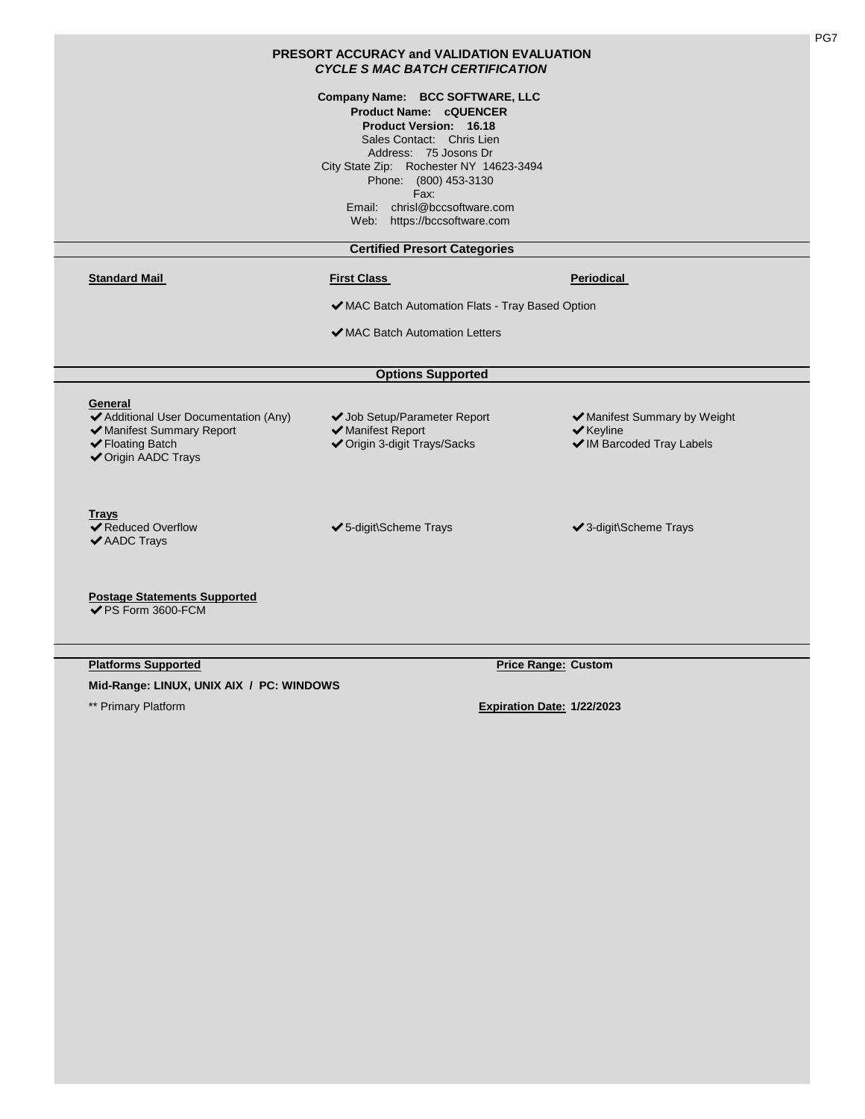|                                                                                                                          | Company Name: BCC SOFTWARE, LLC<br><b>Product Name: cQUENCER</b><br><b>Product Version: 16.18</b><br>Sales Contact: Chris Lien<br>Address: 75 Josons Dr<br>City State Zip: Rochester NY 14623-3494<br>Phone: (800) 453-3130<br>Fax:<br>Email: chrisl@bccsoftware.com<br>Web: https://bccsoftware.com |                                                                                            |
|--------------------------------------------------------------------------------------------------------------------------|------------------------------------------------------------------------------------------------------------------------------------------------------------------------------------------------------------------------------------------------------------------------------------------------------|--------------------------------------------------------------------------------------------|
|                                                                                                                          | <b>Certified Presort Categories</b>                                                                                                                                                                                                                                                                  |                                                                                            |
| <b>Standard Mail</b>                                                                                                     | <b>First Class</b>                                                                                                                                                                                                                                                                                   | <b>Periodical</b>                                                                          |
|                                                                                                                          | ◆ MAC Batch Automation Flats - Tray Based Option                                                                                                                                                                                                                                                     |                                                                                            |
|                                                                                                                          | ✔ MAC Batch Automation Letters                                                                                                                                                                                                                                                                       |                                                                                            |
|                                                                                                                          | <b>Options Supported</b>                                                                                                                                                                                                                                                                             |                                                                                            |
|                                                                                                                          |                                                                                                                                                                                                                                                                                                      |                                                                                            |
| General<br>◆ Additional User Documentation (Any)<br>✔ Manifest Summary Report<br>✔ Floating Batch<br>✔ Origin AADC Trays | ◆ Job Setup/Parameter Report<br>✔ Manifest Report<br>◆ Origin 3-digit Trays/Sacks                                                                                                                                                                                                                    | ✔ Manifest Summary by Weight<br>$\blacktriangleright$ Keyline<br>◆ IM Barcoded Tray Labels |
| Trays<br><b>◆ Reduced Overflow</b><br>◆ AADC Trays                                                                       | ✔5-digit\Scheme Trays                                                                                                                                                                                                                                                                                | ✔ 3-digit\Scheme Trays                                                                     |
| <b>Postage Statements Supported</b><br>✔PS Form 3600-FCM                                                                 |                                                                                                                                                                                                                                                                                                      |                                                                                            |

**Mid-Range: LINUX, UNIX AIX / PC: WINDOWS**

PG7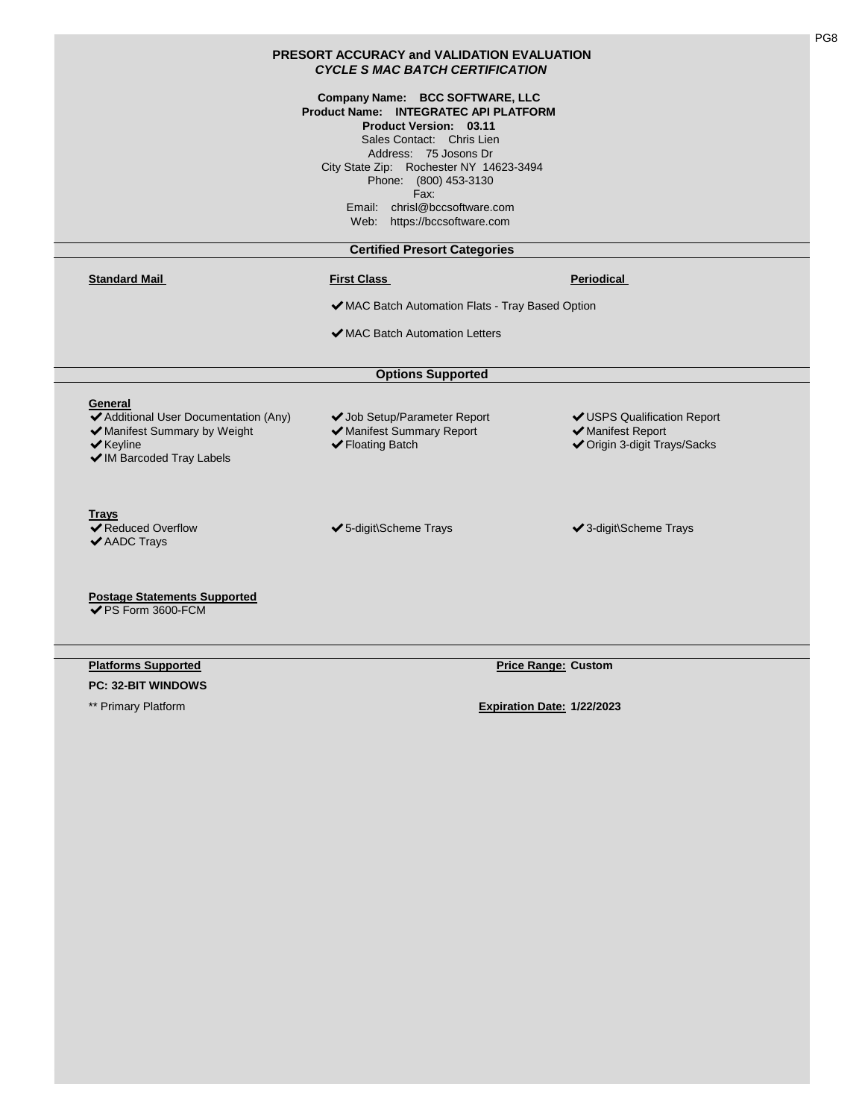|                                                                                                                                                | <b>CYCLE S MAC BATCH CERTIFICATION</b>                                                                                                                                                                                                                                                                |                                                                                  |
|------------------------------------------------------------------------------------------------------------------------------------------------|-------------------------------------------------------------------------------------------------------------------------------------------------------------------------------------------------------------------------------------------------------------------------------------------------------|----------------------------------------------------------------------------------|
|                                                                                                                                                | Company Name: BCC SOFTWARE, LLC<br>Product Name: INTEGRATEC API PLATFORM<br>Product Version: 03.11<br>Sales Contact: Chris Lien<br>Address: 75 Josons Dr<br>City State Zip: Rochester NY 14623-3494<br>Phone: (800) 453-3130<br>Fax:<br>Email: chrisl@bccsoftware.com<br>Web: https://bccsoftware.com |                                                                                  |
|                                                                                                                                                | <b>Certified Presort Categories</b>                                                                                                                                                                                                                                                                   |                                                                                  |
| <b>Standard Mail</b>                                                                                                                           | <b>First Class</b>                                                                                                                                                                                                                                                                                    | <b>Periodical</b>                                                                |
|                                                                                                                                                | ◆ MAC Batch Automation Flats - Tray Based Option                                                                                                                                                                                                                                                      |                                                                                  |
|                                                                                                                                                | ◆ MAC Batch Automation Letters                                                                                                                                                                                                                                                                        |                                                                                  |
|                                                                                                                                                | <b>Options Supported</b>                                                                                                                                                                                                                                                                              |                                                                                  |
| General<br>◆ Additional User Documentation (Any)<br>◆ Manifest Summary by Weight<br>$\blacktriangleright$ Keyline<br>◆ IM Barcoded Tray Labels | ◆ Job Setup/Parameter Report<br>✔ Manifest Summary Report<br>✔ Floating Batch                                                                                                                                                                                                                         | ✔ USPS Qualification Report<br>◆ Manifest Report<br>◆ Origin 3-digit Trays/Sacks |
| <b>Trays</b><br><b>◆ Reduced Overflow</b><br>✔ AADC Trays                                                                                      | ✔5-digit\Scheme Trays                                                                                                                                                                                                                                                                                 | ✔ 3-digit\Scheme Trays                                                           |
| <b>Postage Statements Supported</b><br>✔PS Form 3600-FCM                                                                                       |                                                                                                                                                                                                                                                                                                       |                                                                                  |
| <b>Platforms Supported</b>                                                                                                                     |                                                                                                                                                                                                                                                                                                       | <b>Price Range: Custom</b>                                                       |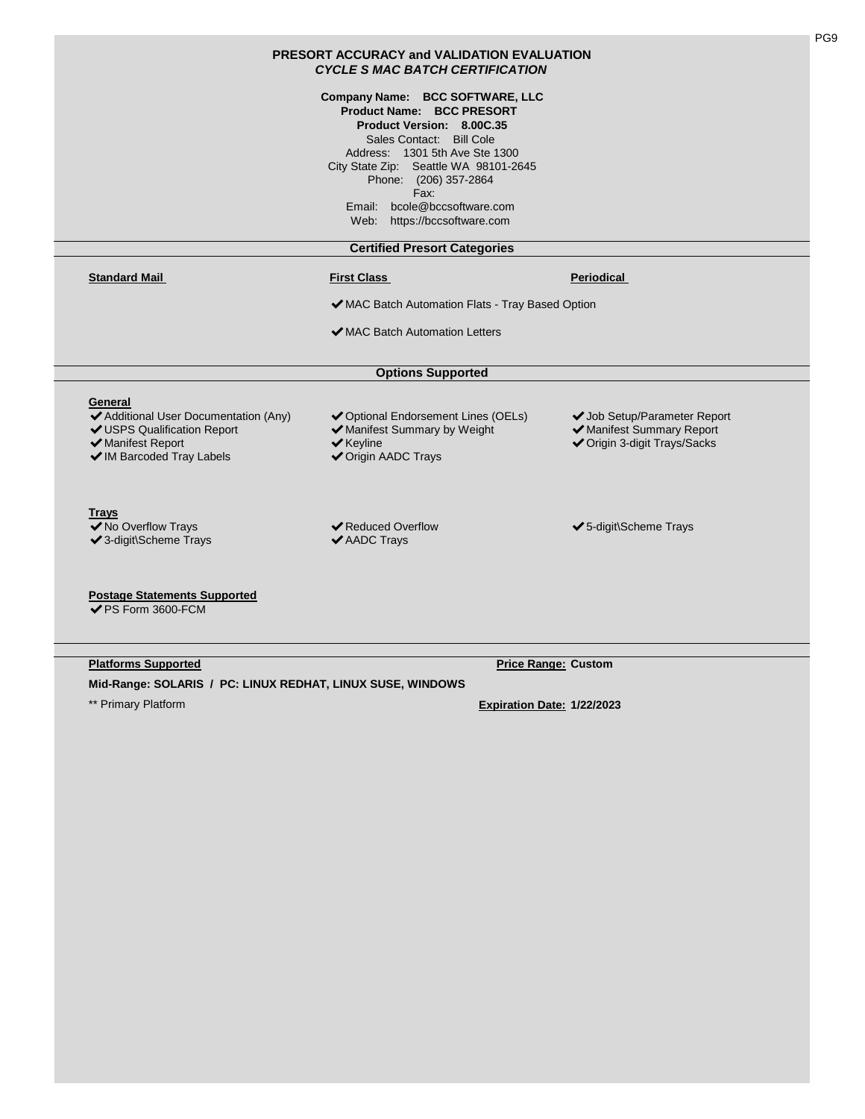| PRESORT ACCURACY and VALIDATION EVALUATION<br><b>CYCLE S MAC BATCH CERTIFICATION</b>                                              |                                                                                                                                                                                                                                                                                                          |                                                                                           |
|-----------------------------------------------------------------------------------------------------------------------------------|----------------------------------------------------------------------------------------------------------------------------------------------------------------------------------------------------------------------------------------------------------------------------------------------------------|-------------------------------------------------------------------------------------------|
|                                                                                                                                   | Company Name: BCC SOFTWARE, LLC<br><b>Product Name: BCC PRESORT</b><br>Product Version: 8.00C.35<br>Sales Contact: Bill Cole<br>Address: 1301 5th Ave Ste 1300<br>City State Zip: Seattle WA 98101-2645<br>Phone: (206) 357-2864<br>Fax:<br>Email: bcole@bccsoftware.com<br>Web: https://bccsoftware.com |                                                                                           |
|                                                                                                                                   | <b>Certified Presort Categories</b>                                                                                                                                                                                                                                                                      |                                                                                           |
| <b>Standard Mail</b>                                                                                                              | <b>First Class</b>                                                                                                                                                                                                                                                                                       | Periodical                                                                                |
|                                                                                                                                   | ◆ MAC Batch Automation Flats - Tray Based Option                                                                                                                                                                                                                                                         |                                                                                           |
|                                                                                                                                   | ◆ MAC Batch Automation Letters                                                                                                                                                                                                                                                                           |                                                                                           |
|                                                                                                                                   |                                                                                                                                                                                                                                                                                                          |                                                                                           |
|                                                                                                                                   | <b>Options Supported</b>                                                                                                                                                                                                                                                                                 |                                                                                           |
| General<br>◆ Additional User Documentation (Any)<br>✔ USPS Qualification Report<br>◆ Manifest Report<br>✔ IM Barcoded Tray Labels | ◆ Optional Endorsement Lines (OELs)<br>◆ Manifest Summary by Weight<br>$\blacktriangleright$ Keyline<br>◆ Origin AADC Trays                                                                                                                                                                              | ◆ Job Setup/Parameter Report<br>✔ Manifest Summary Report<br>◆ Origin 3-digit Trays/Sacks |
| <b>Trays</b><br>◆ No Overflow Trays<br>✔3-digit\Scheme Trays                                                                      | <b>◆ Reduced Overflow</b><br>✔ AADC Trays                                                                                                                                                                                                                                                                | ✔5-digit\Scheme Trays                                                                     |
| <b>Postage Statements Supported</b><br>✔PS Form 3600-FCM                                                                          |                                                                                                                                                                                                                                                                                                          |                                                                                           |

**Platforms Supported Price Range: Custom** 

**Mid-Range: SOLARIS / PC: LINUX REDHAT, LINUX SUSE, WINDOWS**

PG9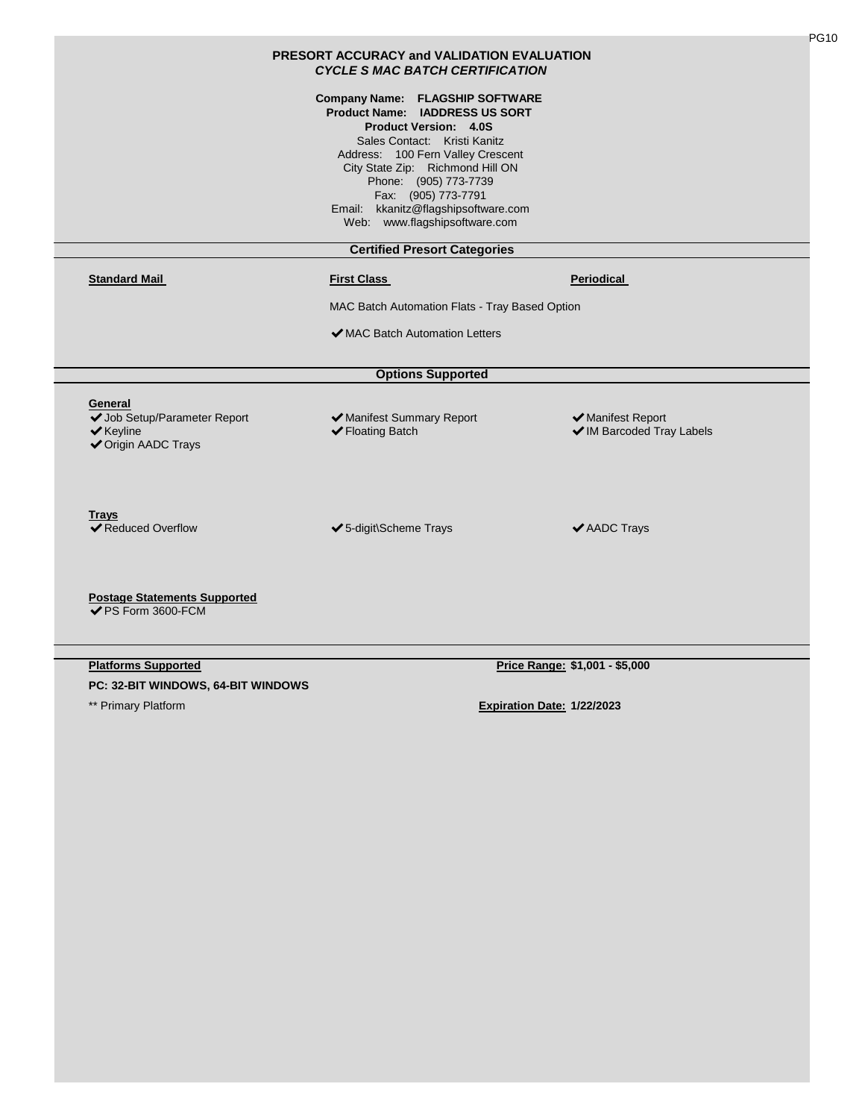|                                                                                                        | <b>PRESORT ACCURACY and VALIDATION EVALUATION</b><br><b>CYCLE S MAC BATCH CERTIFICATION</b>                                                                                                                                                                                                                                               |                                                |
|--------------------------------------------------------------------------------------------------------|-------------------------------------------------------------------------------------------------------------------------------------------------------------------------------------------------------------------------------------------------------------------------------------------------------------------------------------------|------------------------------------------------|
|                                                                                                        | Company Name: FLAGSHIP SOFTWARE<br><b>Product Name: IADDRESS US SORT</b><br><b>Product Version: 4.0S</b><br>Sales Contact: Kristi Kanitz<br>Address: 100 Fern Valley Crescent<br>City State Zip: Richmond Hill ON<br>Phone: (905) 773-7739<br>Fax: (905) 773-7791<br>Email: kkanitz@flagshipsoftware.com<br>Web: www.flagshipsoftware.com |                                                |
|                                                                                                        | <b>Certified Presort Categories</b>                                                                                                                                                                                                                                                                                                       |                                                |
| <b>Standard Mail</b>                                                                                   | <b>First Class</b>                                                                                                                                                                                                                                                                                                                        | Periodical                                     |
|                                                                                                        | MAC Batch Automation Flats - Tray Based Option                                                                                                                                                                                                                                                                                            |                                                |
|                                                                                                        | ◆ MAC Batch Automation Letters                                                                                                                                                                                                                                                                                                            |                                                |
|                                                                                                        | <b>Options Supported</b>                                                                                                                                                                                                                                                                                                                  |                                                |
| General<br>◆ Job Setup/Parameter Report<br>$\blacktriangleright$ Keyline<br><b>√</b> Origin AADC Trays | ◆ Manifest Summary Report<br>✔ Floating Batch                                                                                                                                                                                                                                                                                             | ◆ Manifest Report<br>◆ IM Barcoded Tray Labels |
| <b>Trays</b><br><b>◆ Reduced Overflow</b>                                                              | ✔5-digit\Scheme Trays                                                                                                                                                                                                                                                                                                                     | ✔ AADC Trays                                   |
| <b>Postage Statements Supported</b><br>✔PS Form 3600-FCM                                               |                                                                                                                                                                                                                                                                                                                                           |                                                |
| <b>Platforms Supported</b><br>PC: 32-BIT WINDOWS, 64-BIT WINDOWS                                       |                                                                                                                                                                                                                                                                                                                                           | Price Range: \$1,001 - \$5,000                 |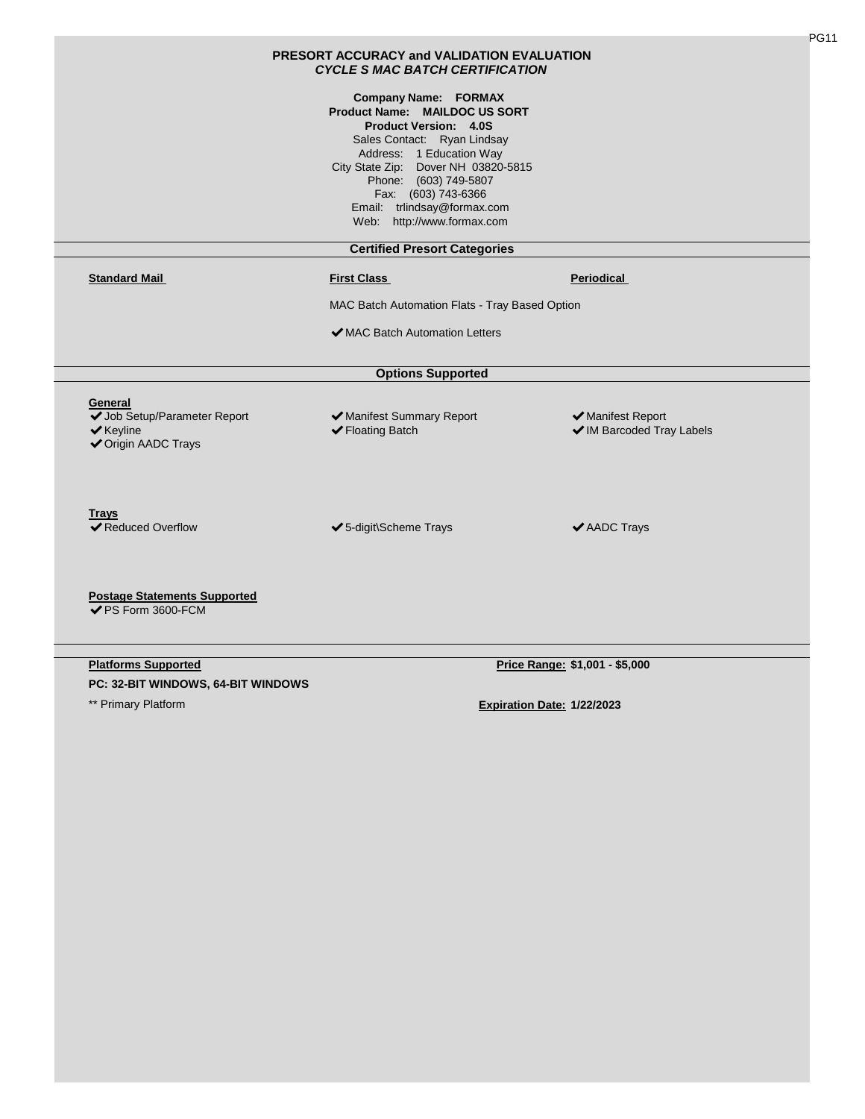|                                                                                                 | <b>PRESORT ACCURACY and VALIDATION EVALUATION</b><br><b>CYCLE S MAC BATCH CERTIFICATION</b>                                                                                                                                                                                                                 |                                                |
|-------------------------------------------------------------------------------------------------|-------------------------------------------------------------------------------------------------------------------------------------------------------------------------------------------------------------------------------------------------------------------------------------------------------------|------------------------------------------------|
|                                                                                                 | <b>Company Name: FORMAX</b><br>Product Name: MAILDOC US SORT<br><b>Product Version: 4.0S</b><br>Sales Contact: Ryan Lindsay<br>Address: 1 Education Way<br>City State Zip: Dover NH 03820-5815<br>Phone: (603) 749-5807<br>Fax: (603) 743-6366<br>Email: trlindsay@formax.com<br>Web: http://www.formax.com |                                                |
|                                                                                                 | <b>Certified Presort Categories</b>                                                                                                                                                                                                                                                                         |                                                |
| <b>Standard Mail</b>                                                                            | <b>First Class</b>                                                                                                                                                                                                                                                                                          | <b>Periodical</b>                              |
|                                                                                                 | MAC Batch Automation Flats - Tray Based Option                                                                                                                                                                                                                                                              |                                                |
|                                                                                                 |                                                                                                                                                                                                                                                                                                             |                                                |
|                                                                                                 | ◆ MAC Batch Automation Letters                                                                                                                                                                                                                                                                              |                                                |
|                                                                                                 | <b>Options Supported</b>                                                                                                                                                                                                                                                                                    |                                                |
| General<br>◆ Job Setup/Parameter Report<br>$\blacktriangleright$ Keyline<br>◆ Origin AADC Trays | ✔ Manifest Summary Report<br>✔ Floating Batch                                                                                                                                                                                                                                                               | ◆ Manifest Report<br>✔ IM Barcoded Tray Labels |
| Trays<br><b>◆ Reduced Overflow</b>                                                              | ✔5-digit\Scheme Trays                                                                                                                                                                                                                                                                                       | ✔ AADC Trays                                   |
| <b>Postage Statements Supported</b><br>✔PS Form 3600-FCM                                        |                                                                                                                                                                                                                                                                                                             |                                                |
| <b>Platforms Supported</b>                                                                      |                                                                                                                                                                                                                                                                                                             | Price Range: \$1,001 - \$5,000                 |
| PC: 32-BIT WINDOWS, 64-BIT WINDOWS                                                              |                                                                                                                                                                                                                                                                                                             |                                                |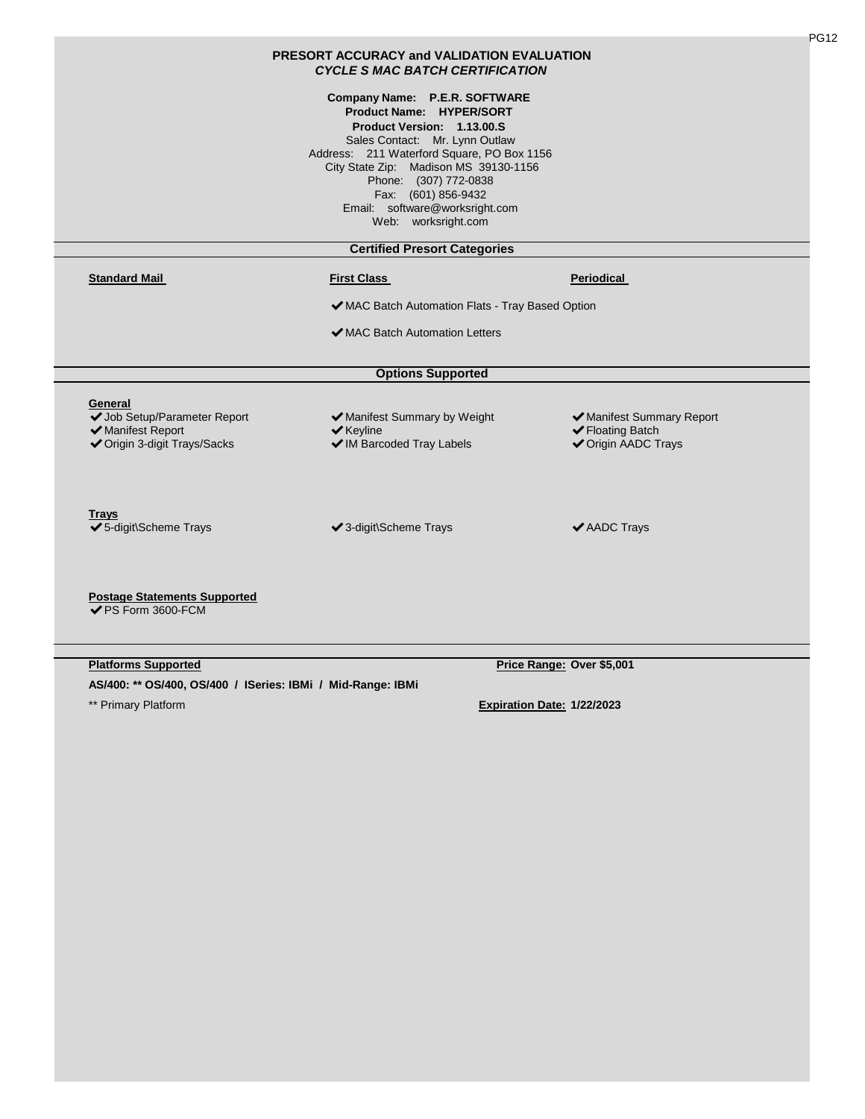| <b>PRESORT ACCURACY and VALIDATION EVALUATION</b><br><b>CYCLE S MAC BATCH CERTIFICATION</b>  |                                                                                                                                                                                                                                                                                                                           |                                                                             |
|----------------------------------------------------------------------------------------------|---------------------------------------------------------------------------------------------------------------------------------------------------------------------------------------------------------------------------------------------------------------------------------------------------------------------------|-----------------------------------------------------------------------------|
|                                                                                              | Company Name: P.E.R. SOFTWARE<br>Product Name: HYPER/SORT<br>Product Version: 1.13.00.S<br>Sales Contact: Mr. Lynn Outlaw<br>Address: 211 Waterford Square, PO Box 1156<br>City State Zip: Madison MS 39130-1156<br>Phone: (307) 772-0838<br>Fax: (601) 856-9432<br>Email: software@worksright.com<br>Web: worksright.com |                                                                             |
|                                                                                              | <b>Certified Presort Categories</b>                                                                                                                                                                                                                                                                                       |                                                                             |
| <b>Standard Mail</b>                                                                         | <b>First Class</b>                                                                                                                                                                                                                                                                                                        | <b>Periodical</b>                                                           |
|                                                                                              | ◆ MAC Batch Automation Flats - Tray Based Option                                                                                                                                                                                                                                                                          |                                                                             |
|                                                                                              | ◆ MAC Batch Automation Letters                                                                                                                                                                                                                                                                                            |                                                                             |
|                                                                                              | <b>Options Supported</b>                                                                                                                                                                                                                                                                                                  |                                                                             |
| General<br>◆ Job Setup/Parameter Report<br>✔ Manifest Report<br>◆ Origin 3-digit Trays/Sacks | ✔ Manifest Summary by Weight<br>$\blacktriangleright$ Keyline<br>◆ IM Barcoded Tray Labels                                                                                                                                                                                                                                | ◆ Manifest Summary Report<br>✔ Floating Batch<br><b>√</b> Origin AADC Trays |
| <b>Trays</b><br>✔5-digit\Scheme Trays                                                        | ✔ 3-digit\Scheme Trays                                                                                                                                                                                                                                                                                                    | ✔ AADC Trays                                                                |
| <b>Postage Statements Supported</b><br>✔PS Form 3600-FCM                                     |                                                                                                                                                                                                                                                                                                                           |                                                                             |
| <b>Platforms Supported</b>                                                                   |                                                                                                                                                                                                                                                                                                                           | Price Range: Over \$5,001                                                   |

**AS/400: \*\* OS/400, OS/400 / ISeries: IBMi / Mid-Range: IBMi**